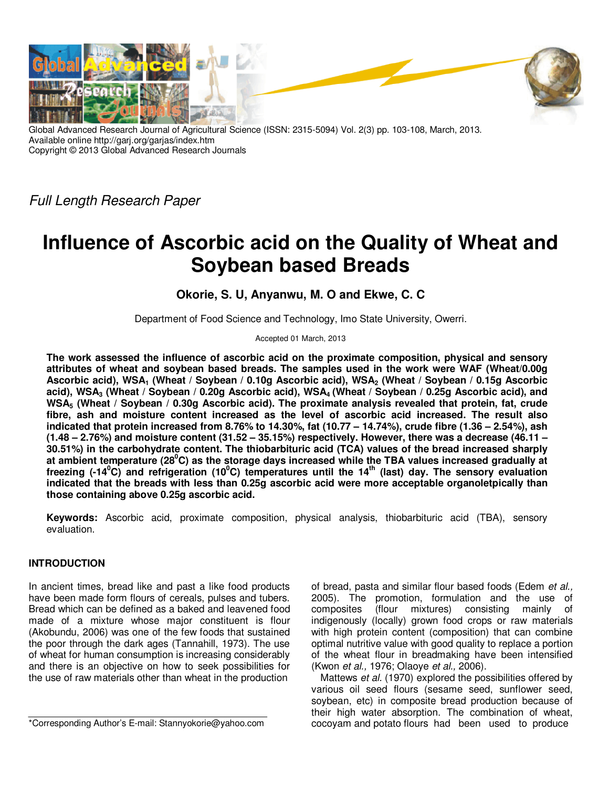

Global Advanced Research Journal of Agricultural Science (ISSN: 2315-5094) Vol. 2(3) pp. 103-108, March, 2013. Available online http://garj.org/garjas/index.htm Copyright © 2013 Global Advanced Research Journals

*Full Length Research Paper*

# **Influence of Ascorbic acid on the Quality of Wheat and Soybean based Breads**

**Okorie, S. U, Anyanwu, M. O and Ekwe, C. C** 

Department of Food Science and Technology, Imo State University, Owerri.

Accepted 01 March, 2013

**The work assessed the influence of ascorbic acid on the proximate composition, physical and sensory attributes of wheat and soybean based breads. The samples used in the work were WAF (Wheat/0.00g Ascorbic acid), WSA1 (Wheat / Soybean / 0.10g Ascorbic acid), WSA2 (Wheat / Soybean / 0.15g Ascorbic acid), WSA3 (Wheat / Soybean / 0.20g Ascorbic acid), WSA4 (Wheat / Soybean / 0.25g Ascorbic acid), and WSA5 (Wheat / Soybean / 0.30g Ascorbic acid). The proximate analysis revealed that protein, fat, crude fibre, ash and moisture content increased as the level of ascorbic acid increased. The result also indicated that protein increased from 8.76% to 14.30%, fat (10.77 – 14.74%), crude fibre (1.36 – 2.54%), ash (1.48 – 2.76%) and moisture content (31.52 – 35.15%) respectively. However, there was a decrease (46.11 – 30.51%) in the carbohydrate content. The thiobarbituric acid (TCA) values of the bread increased sharply at ambient temperature (28<sup>0</sup>C) as the storage days increased while the TBA values increased gradually at freezing (-14<sup>0</sup>C) and refrigeration (10<sup>0</sup>C) temperatures until the 14th (last) day. The sensory evaluation indicated that the breads with less than 0.25g ascorbic acid were more acceptable organoletpically than those containing above 0.25g ascorbic acid.** 

**Keywords:** Ascorbic acid, proximate composition, physical analysis, thiobarbituric acid (TBA), sensory evaluation.

## **INTRODUCTION**

In ancient times, bread like and past a like food products have been made form flours of cereals, pulses and tubers. Bread which can be defined as a baked and leavened food made of a mixture whose major constituent is flour (Akobundu, 2006) was one of the few foods that sustained the poor through the dark ages (Tannahill, 1973). The use of wheat for human consumption is increasing considerably and there is an objective on how to seek possibilities for the use of raw materials other than wheat in the production

\*Corresponding Author's E-mail: Stannyokorie@yahoo.com

of bread, pasta and similar flour based foods (Edem *et al.,* 2005). The promotion, formulation and the use of composites (flour mixtures) consisting mainly of composites (flour mixtures) consisting mainly of indigenously (locally) grown food crops or raw materials with high protein content (composition) that can combine optimal nutritive value with good quality to replace a portion of the wheat flour in breadmaking have been intensified (Kwon *et al.,* 1976; Olaoye *et al.,* 2006).

Mattews *et al.* (1970) explored the possibilities offered by various oil seed flours (sesame seed, sunflower seed, soybean, etc) in composite bread production because of their high water absorption. The combination of wheat, cocoyam and potato flours had been used to produce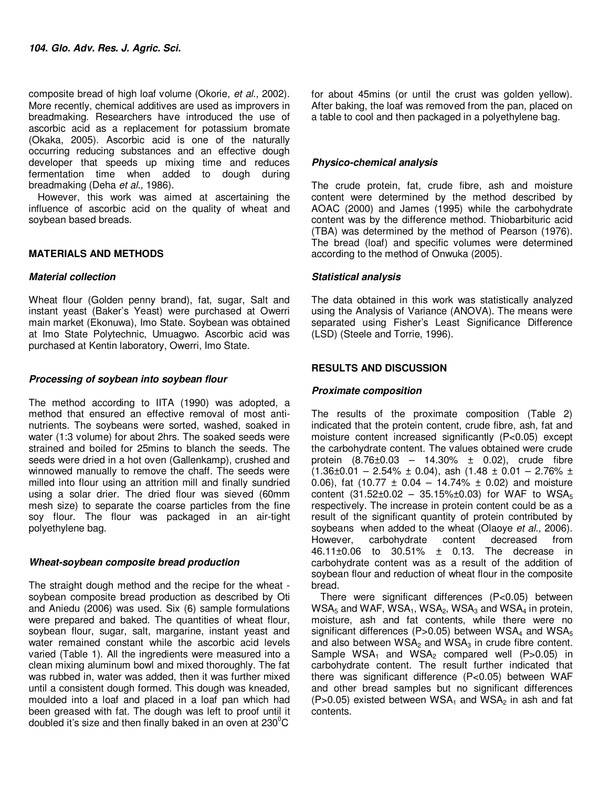composite bread of high loaf volume (Okorie, *et al.,* 2002). More recently, chemical additives are used as improvers in breadmaking. Researchers have introduced the use of ascorbic acid as a replacement for potassium bromate (Okaka, 2005). Ascorbic acid is one of the naturally occurring reducing substances and an effective dough developer that speeds up mixing time and reduces fermentation time when added to dough during breadmaking (Deha *et al.,* 1986).

However, this work was aimed at ascertaining the influence of ascorbic acid on the quality of wheat and soybean based breads.

#### **MATERIALS AND METHODS**

#### **Material collection**

Wheat flour (Golden penny brand), fat, sugar, Salt and instant yeast (Baker's Yeast) were purchased at Owerri main market (Ekonuwa), Imo State. Soybean was obtained at Imo State Polytechnic, Umuagwo. Ascorbic acid was purchased at Kentin laboratory, Owerri, Imo State.

## **Processing of soybean into soybean flour**

The method according to IITA (1990) was adopted, a method that ensured an effective removal of most antinutrients. The soybeans were sorted, washed, soaked in water (1:3 volume) for about 2hrs. The soaked seeds were strained and boiled for 25mins to blanch the seeds. The seeds were dried in a hot oven (Gallenkamp), crushed and winnowed manually to remove the chaff. The seeds were milled into flour using an attrition mill and finally sundried using a solar drier. The dried flour was sieved (60mm mesh size) to separate the coarse particles from the fine soy flour. The flour was packaged in an air-tight polyethylene bag.

## **Wheat-soybean composite bread production**

The straight dough method and the recipe for the wheat soybean composite bread production as described by Oti and Aniedu (2006) was used. Six (6) sample formulations were prepared and baked. The quantities of wheat flour, soybean flour, sugar, salt, margarine, instant yeast and water remained constant while the ascorbic acid levels varied (Table 1). All the ingredients were measured into a clean mixing aluminum bowl and mixed thoroughly. The fat was rubbed in, water was added, then it was further mixed until a consistent dough formed. This dough was kneaded, moulded into a loaf and placed in a loaf pan which had been greased with fat. The dough was left to proof until it doubled it's size and then finally baked in an oven at  $230^{\circ}$ C

for about 45mins (or until the crust was golden yellow). After baking, the loaf was removed from the pan, placed on a table to cool and then packaged in a polyethylene bag.

### **Physico-chemical analysis**

The crude protein, fat, crude fibre, ash and moisture content were determined by the method described by AOAC (2000) and James (1995) while the carbohydrate content was by the difference method. Thiobarbituric acid (TBA) was determined by the method of Pearson (1976). The bread (loaf) and specific volumes were determined according to the method of Onwuka (2005).

#### **Statistical analysis**

The data obtained in this work was statistically analyzed using the Analysis of Variance (ANOVA). The means were separated using Fisher's Least Significance Difference (LSD) (Steele and Torrie, 1996).

## **RESULTS AND DISCUSSION**

### **Proximate composition**

The results of the proximate composition (Table 2) indicated that the protein content, crude fibre, ash, fat and moisture content increased significantly (P<0.05) except the carbohydrate content. The values obtained were crude protein  $(8.76 \pm 0.03 - 14.30\% \pm 0.02)$ , crude fibre  $(1.36\pm0.01 - 2.54\% \pm 0.04)$ , ash  $(1.48 \pm 0.01 - 2.76\% \pm 0.01)$ 0.06), fat (10.77  $\pm$  0.04 – 14.74%  $\pm$  0.02) and moisture content  $(31.52 \pm 0.02 - 35.15\% \pm 0.03)$  for WAF to WSA<sub>5</sub> respectively. The increase in protein content could be as a result of the significant quantity of protein contributed by soybeans when added to the wheat (Olaoye *et al.,* 2006). However, carbohydrate content decreased from 46.11±0.06 to 30.51% ± 0.13. The decrease in carbohydrate content was as a result of the addition of soybean flour and reduction of wheat flour in the composite bread.

There were significant differences (P<0.05) between  $WSA<sub>5</sub>$  and WAF, WSA<sub>1</sub>, WSA<sub>2</sub>, WSA<sub>3</sub> and WSA<sub>4</sub> in protein, moisture, ash and fat contents, while there were no significant differences (P>0.05) between  $WSA_4$  and  $WSA_5$ and also between  $WSA<sub>2</sub>$  and  $WSA<sub>3</sub>$  in crude fibre content. Sample  $WSA_1$  and  $WSA_2$  compared well (P>0.05) in carbohydrate content. The result further indicated that there was significant difference (P<0.05) between WAF and other bread samples but no significant differences (P>0.05) existed between  $WSA_1$  and  $WSA_2$  in ash and fat contents.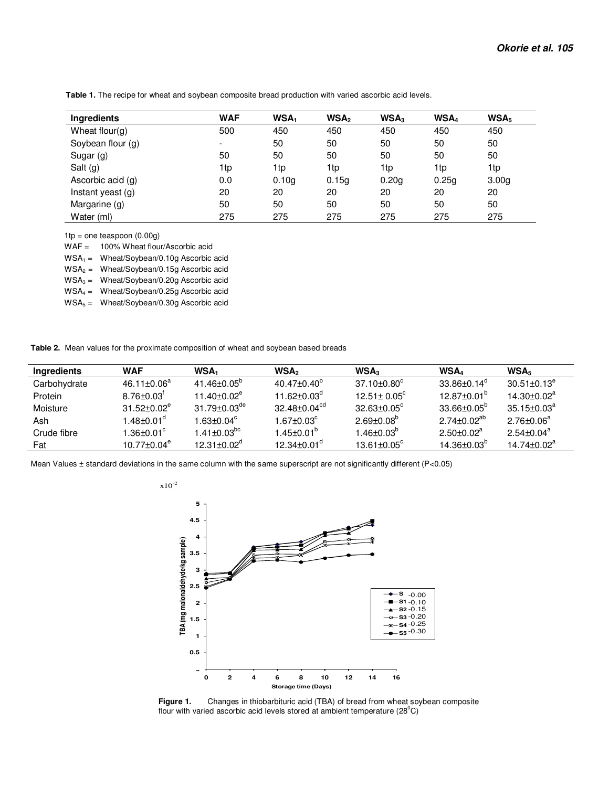| <b>Ingredients</b>  | <b>WAF</b>               | WSA <sub>1</sub>  | WSA <sub>2</sub> | WSA <sub>3</sub> | WSA <sub>4</sub> | WSA <sub>5</sub>  |
|---------------------|--------------------------|-------------------|------------------|------------------|------------------|-------------------|
| Wheat flour( $q$ )  | 500                      | 450               | 450              | 450              | 450              | 450               |
| Soybean flour (g)   | $\overline{\phantom{0}}$ | 50                | 50               | 50               | 50               | 50                |
| Sugar (g)           | 50                       | 50                | 50               | 50               | 50               | 50                |
| Salt $(g)$          | 1tp                      | 1tp               | 1tp              | 1tp              | 1tp              | 1tp               |
| Ascorbic acid (g)   | 0.0                      | 0.10 <sub>g</sub> | 0.15q            | 0.20q            | 0.25q            | 3.00 <sub>g</sub> |
| Instant yeast $(q)$ | 20                       | 20                | 20               | 20               | 20               | 20                |
| Margarine (g)       | 50                       | 50                | 50               | 50               | 50               | 50                |
| Water (ml)          | 275                      | 275               | 275              | 275              | 275              | 275               |

 **Table 1.** The recipe for wheat and soybean composite bread production with varied ascorbic acid levels.

 $1tp = one$  teaspoon  $(0.00g)$ 

WAF = 100% Wheat flour/Ascorbic acid

 $WSA_1 = Wheat/Soybean/0.10g Ascorbic acid$ 

 $WSA<sub>2</sub>$  = Wheat/Soybean/0.15g Ascorbic acid

 $WSA<sub>3</sub>$  = Wheat/Soybean/0.20g Ascorbic acid

WSA4 = Wheat/Soybean/0.25g Ascorbic acid

 $WSA_5 = Wheat/Soybean/0.30g Ascorbic acid$ 

 **Table 2.** Mean values for the proximate composition of wheat and soybean based breads

| <b>Ingredients</b> | WAF                          | WSA <sub>1</sub>               | <b>WSA</b>                    | WSA <sub>3</sub>         | WSA <sub>4</sub>         | WSA <sub>5</sub>         |
|--------------------|------------------------------|--------------------------------|-------------------------------|--------------------------|--------------------------|--------------------------|
| Carbohydrate       | $46.11 \pm 0.06^a$           | $41.46 \pm 0.05^{\circ}$       | $40.47 + 0.40^{\circ}$        | $37.10 + 0.80^{\circ}$   | $33.86 + 0.14^{\circ}$   | $30.51 \pm 0.13^\circ$   |
| Protein            | $8.76 \pm 0.03$ <sup>r</sup> | $11.40 + 0.02^e$               | $11.62 + 0.03^{\circ}$        | $12.51 \pm 0.05^{\circ}$ | $12.87 \pm 0.01^{\circ}$ | $14.30 + 0.02^a$         |
| Moisture           | $31.52 + 0.02^e$             | $31.79 \pm 0.03$ <sup>de</sup> | $32.48 \pm 0.04^\mathrm{cd}$  | $32.63 + 0.05^{\circ}$   | $33.66 + 0.05^{\circ}$   | $35.15 \pm 0.03^a$       |
| Ash                | 1.48±0.01 $^{\circ}$         | $1.63 + 0.04^c$                | $1.67 \pm 0.03^c$             | $2.69 + 0.08^b$          | $2.74 + 0.02^{ab}$       | $2.76 \pm 0.06^a$        |
| Crude fibre        | $1.36 \pm 0.01^{\circ}$      | $1.41 \pm 0.03$ <sup>bc</sup>  | $1.45 \pm 0.01^{\circ}$       | $1.46 + 0.03^{b}$        | $2.50+0.02^a$            | $2.54 \pm 0.04^\text{a}$ |
| Fat                | $10.77 + 0.04^e$             | 12 31+0 $02^d$                 | $12.34 \pm 0.01$ <sup>d</sup> | 13 61+0 $0.5^{\circ}$    | $14.36 + 0.03^{b}$       | $14.74 + 0.02^a$         |

Mean Values ± standard deviations in the same column with the same superscript are not significantly different (P<0.05)



**Figure 1.** Changes in thiobarbituric acid (TBA) of bread from wheat soybean composite flour with varied ascorbic acid levels stored at ambient temperature  $(28^{\circ}C)$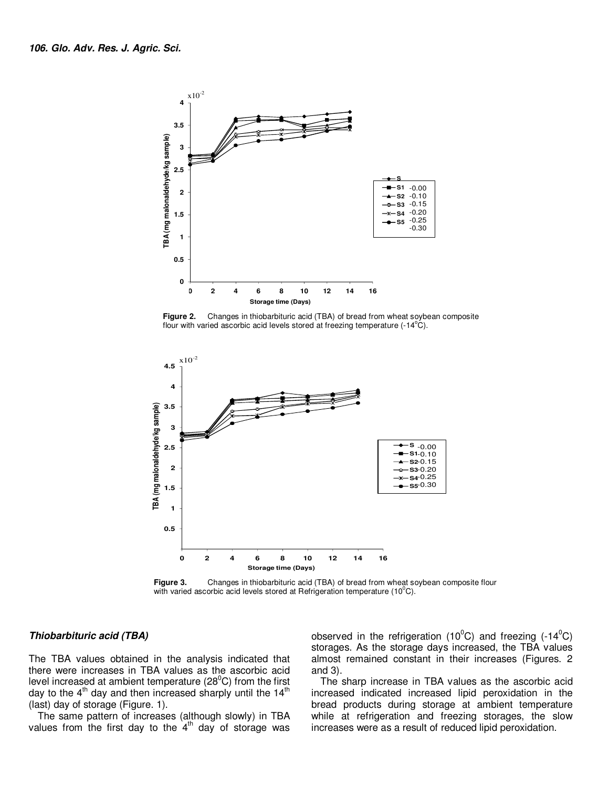

**Figure 2.** Changes in thiobarbituric acid (TBA) of bread from wheat soybean composite flour with varied ascorbic acid levels stored at freezing temperature  $(-14^{\circ}C)$ .



**Figure 3.** Changes in thiobarbituric acid (TBA) of bread from wheat soybean composite flour with varied ascorbic acid levels stored at Refrigeration temperature (10 $^0$ C).

#### **Thiobarbituric acid (TBA)**

The TBA values obtained in the analysis indicated that there were increases in TBA values as the ascorbic acid level increased at ambient temperature  $(28^{\circ}C)$  from the first day to the  $4<sup>th</sup>$  day and then increased sharply until the 14<sup>th</sup> (last) day of storage (Figure. 1).

The same pattern of increases (although slowly) in TBA values from the first day to the  $4<sup>th</sup>$  day of storage was

observed in the refrigeration (10<sup>o</sup>C) and freezing (-14<sup>o</sup>C) storages. As the storage days increased, the TBA values almost remained constant in their increases (Figures. 2 and 3).

The sharp increase in TBA values as the ascorbic acid increased indicated increased lipid peroxidation in the bread products during storage at ambient temperature while at refrigeration and freezing storages, the slow increases were as a result of reduced lipid peroxidation.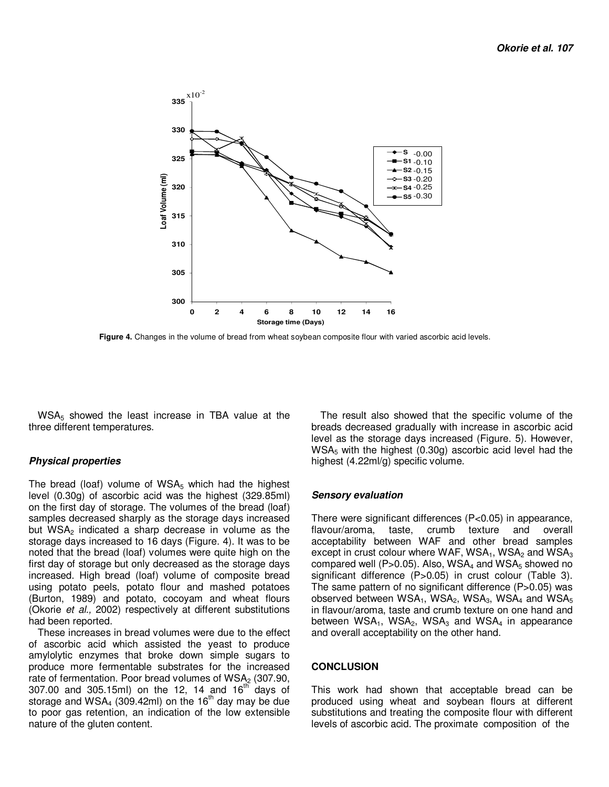

 **Figure 4.** Changes in the volume of bread from wheat soybean composite flour with varied ascorbic acid levels.

WSA<sub>5</sub> showed the least increase in TBA value at the three different temperatures.

#### **Physical properties**

The bread (loaf) volume of  $WSA_5$  which had the highest level (0.30g) of ascorbic acid was the highest (329.85ml) on the first day of storage. The volumes of the bread (loaf) samples decreased sharply as the storage days increased but  $WSA<sub>2</sub>$  indicated a sharp decrease in volume as the storage days increased to 16 days (Figure. 4). It was to be noted that the bread (loaf) volumes were quite high on the first day of storage but only decreased as the storage days increased. High bread (loaf) volume of composite bread using potato peels, potato flour and mashed potatoes (Burton, 1989) and potato, cocoyam and wheat flours (Okorie *et al.,* 2002) respectively at different substitutions had been reported.

These increases in bread volumes were due to the effect of ascorbic acid which assisted the yeast to produce amylolytic enzymes that broke down simple sugars to produce more fermentable substrates for the increased rate of fermentation. Poor bread volumes of  $WSA<sub>2</sub>$  (307.90, 307.00 and 305.15ml) on the 12, 14 and  $16^{th}$  days of storage and WSA<sub>4</sub> (309.42ml) on the 16<sup>th</sup> day may be due to poor gas retention, an indication of the low extensible nature of the gluten content.

The result also showed that the specific volume of the breads decreased gradually with increase in ascorbic acid level as the storage days increased (Figure. 5). However, WSA<sub>5</sub> with the highest (0.30g) ascorbic acid level had the highest (4.22ml/g) specific volume.

#### **Sensory evaluation**

There were significant differences (P<0.05) in appearance, flavour/aroma, taste, crumb texture and overall flavour/aroma, taste, crumb texture and overall acceptability between WAF and other bread samples except in crust colour where WAF,  $WSA_1$ ,  $WSA_2$  and  $WSA_3$ compared well (P>0.05). Also,  $WSA<sub>4</sub>$  and  $WSA<sub>5</sub>$  showed no significant difference (P>0.05) in crust colour (Table 3). The same pattern of no significant difference (P>0.05) was observed between  $WSA_1$ , WSA<sub>2</sub>, WSA<sub>3</sub>, WSA<sub>4</sub> and WSA<sub>5</sub> in flavour/aroma, taste and crumb texture on one hand and between  $WSA_1$ ,  $WSA_2$ ,  $WSA_3$  and  $WSA_4$  in appearance and overall acceptability on the other hand.

#### **CONCLUSION**

This work had shown that acceptable bread can be produced using wheat and soybean flours at different substitutions and treating the composite flour with different levels of ascorbic acid. The proximate composition of the